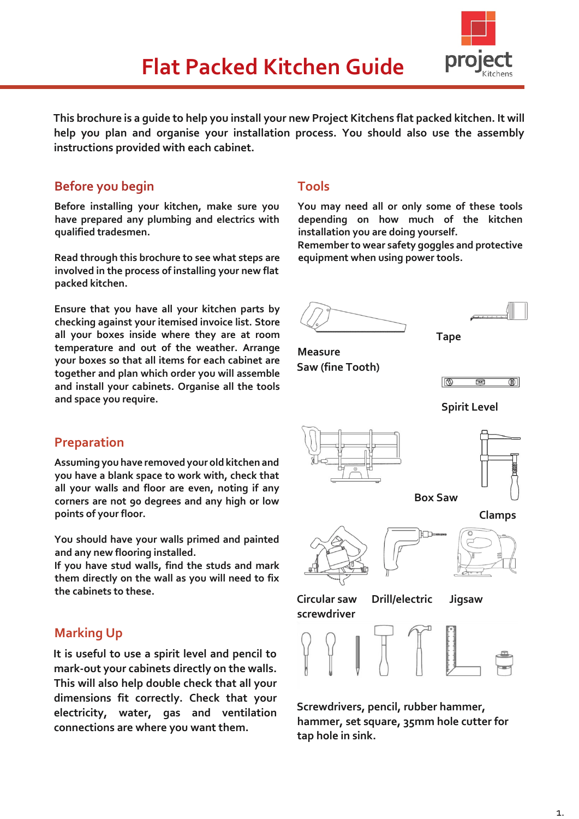

**This brochure is a guide to help you install your new Project Kitchens flat packed kitchen. It will help you plan and organise your installation process. You should also use the assembly instructions provided with each cabinet.** 

## **Before you begin**

**Before installing your kitchen, make sure you have prepared any plumbing and electrics with qualified tradesmen.** 

**Read through this brochure to see what steps are involved in the process of installing your new flat packed kitchen.** 

**Ensure that you have all your kitchen parts by checking against your itemised invoice list. Store all your boxes inside where they are at room temperature and out of the weather. Arrange your boxes so that all items for each cabinet are together and plan which order you will assemble and install your cabinets. Organise all the tools and space you require.** 

## **Preparation**

**Assuming you have removed your old kitchen and you have a blank space to work with, check that all your walls and floor are even, noting if any corners are not 90 degrees and any high or low points of your floor.** 

**You should have your walls primed and painted and any new flooring installed.**

**If you have stud walls, find the studs and mark them directly on the wall as you will need to fix the cabinets to these.** 

# **Marking Up**

**It is useful to use a spirit level and pencil to mark-out your cabinets directly on the walls. This will also help double check that all your dimensions fit correctly. Check that your electricity, water, gas and ventilation connections are where you want them.** 

## **Tools**

**You may need all or only some of these tools depending on how much of the kitchen installation you are doing yourself.** 

**Remember to wear safety goggles and protective equipment when using power tools.**





**Tape** 

**Measure Saw (fine Tooth)**











**Circular saw Drill/electric Jigsaw screwdriver**



**Screwdrivers, pencil, rubber hammer, hammer, set square, 35mm hole cutter for tap hole in sink.**